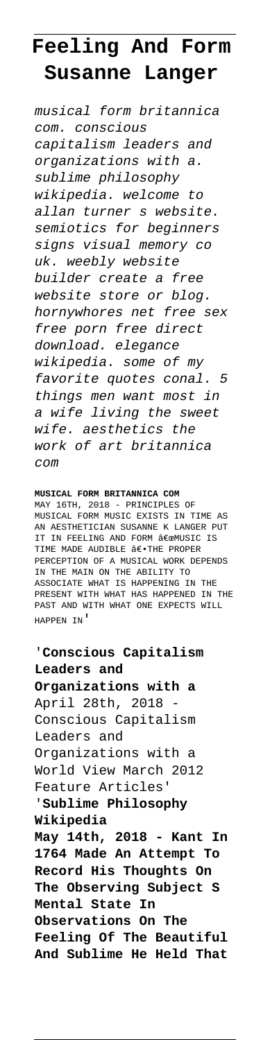## **Feeling And Form Susanne Langer**

musical form britannica com. conscious capitalism leaders and organizations with a. sublime philosophy wikipedia. welcome to allan turner s website. semiotics for beginners signs visual memory co uk. weebly website builder create a free website store or blog. hornywhores net free sex free porn free direct download. elegance wikipedia. some of my favorite quotes conal. 5 things men want most in a wife living the sweet wife. aesthetics the work of art britannica com

## **MUSICAL FORM BRITANNICA COM**

MAY 16TH, 2018 - PRINCIPLES OF MUSICAL FORM MUSIC EXISTS IN TIME AS AN AESTHETICIAN SUSANNE K LANGER PUT IT IN FEELING AND FORM "MUSIC IS TIME MADE AUDIBLE ―THE PROPER PERCEPTION OF A MUSICAL WORK DEPENDS IN THE MAIN ON THE ABILITY TO ASSOCIATE WHAT IS HAPPENING IN THE PRESENT WITH WHAT HAS HAPPENED IN THE PAST AND WITH WHAT ONE EXPECTS WILL HAPPEN IN'

'**Conscious Capitalism Leaders and Organizations with a** April 28th, 2018 Conscious Capitalism Leaders and Organizations with a World View March 2012 Feature Articles' '**Sublime Philosophy Wikipedia May 14th, 2018 - Kant In 1764 Made An Attempt To Record His Thoughts On The Observing Subject S Mental State In Observations On The Feeling Of The Beautiful And Sublime He Held That**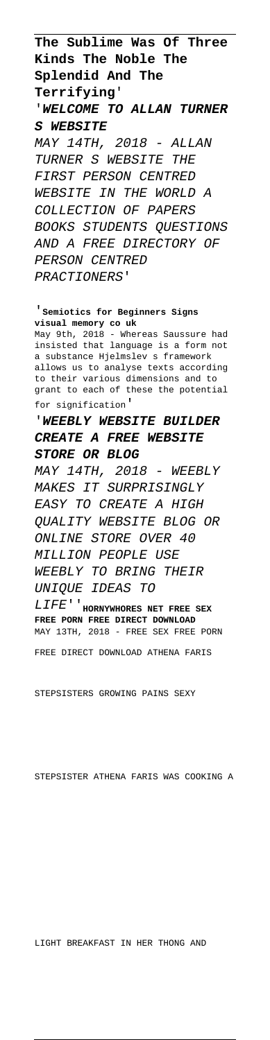**The Sublime Was Of Three Kinds The Noble The Splendid And The Terrifying**' '**WELCOME TO ALLAN TURNER S WEBSITE** MAY 14TH, 2018 - ALLAN TURNER S WEBSITE THE FIRST PERSON CENTRED WEBSITE IN THE WORLD A COLLECTION OF PAPERS BOOKS STUDENTS QUESTIONS AND A FREE DIRECTORY OF PERSON CENTRED PRACTIONERS'

'**Semiotics for Beginners Signs visual memory co uk** May 9th, 2018 - Whereas Saussure had insisted that language is a form not a substance Hjelmslev s framework allows us to analyse texts according to their various dimensions and to grant to each of these the potential for signification'

'**WEEBLY WEBSITE BUILDER CREATE A FREE WEBSITE STORE OR BLOG** MAY 14TH, 2018 - WEEBLY MAKES IT SURPRISINGLY EASY TO CREATE A HIGH QUALITY WEBSITE BLOG OR ONLINE STORE OVER 40 MILLION PEOPLE USE WEEBLY TO BRING THEIR UNIQUE IDEAS TO LIFE''**HORNYWHORES NET FREE SEX FREE PORN FREE DIRECT DOWNLOAD** MAY 13TH, 2018 - FREE SEX FREE PORN

FREE DIRECT DOWNLOAD ATHENA FARIS

STEPSISTERS GROWING PAINS SEXY

STEPSISTER ATHENA FARIS WAS COOKING A

LIGHT BREAKFAST IN HER THONG AND